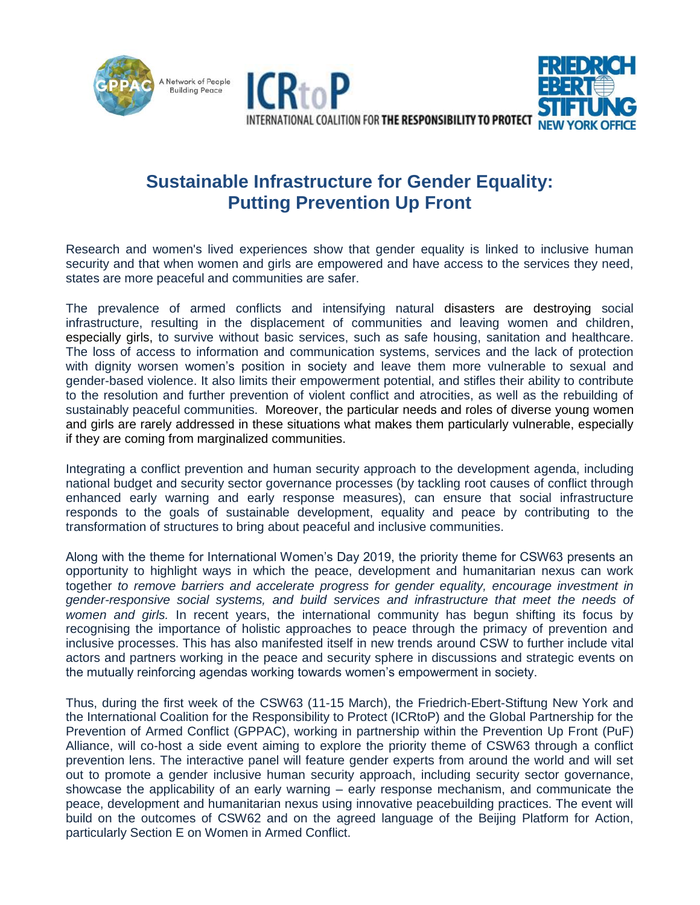



## **Sustainable Infrastructure for Gender Equality: Putting Prevention Up Front**

Research and women's lived experiences show that gender equality is linked to inclusive human security and that when women and girls are empowered and have access to the services they need, states are more peaceful and communities are safer.

The prevalence of armed conflicts and intensifying natural disasters are destroying social infrastructure, resulting in the displacement of communities and leaving women and children, especially girls, to survive without basic services, such as safe housing, sanitation and healthcare. The loss of access to information and communication systems, services and the lack of protection with dignity worsen women's position in society and leave them more vulnerable to sexual and gender-based violence. It also limits their empowerment potential, and stifles their ability to contribute to the resolution and further prevention of violent conflict and atrocities, as well as the rebuilding of sustainably peaceful communities. Moreover, the particular needs and roles of diverse young women and girls are rarely addressed in these situations what makes them particularly vulnerable, especially if they are coming from marginalized communities.

Integrating a conflict prevention and human security approach to the development agenda, including national budget and security sector governance processes (by tackling root causes of conflict through enhanced early warning and early response measures), can ensure that social infrastructure responds to the goals of sustainable development, equality and peace by contributing to the transformation of structures to bring about peaceful and inclusive communities.

Along with the theme for International Women's Day 2019, the priority theme for CSW63 presents an opportunity to highlight ways in which the peace, development and humanitarian nexus can work together *to remove barriers and accelerate progress for gender equality, encourage investment in gender-responsive social systems, and build services and infrastructure that meet the needs of women and girls.* In recent years, the international community has begun shifting its focus by recognising the importance of holistic approaches to peace through the primacy of prevention and inclusive processes. This has also manifested itself in new trends around CSW to further include vital actors and partners working in the peace and security sphere in discussions and strategic events on the mutually reinforcing agendas working towards women's empowerment in society.

Thus, during the first week of the CSW63 (11-15 March), the Friedrich-Ebert-Stiftung New York and the International Coalition for the Responsibility to Protect (ICRtoP) and the Global Partnership for the Prevention of Armed Conflict (GPPAC), working in partnership within the Prevention Up Front (PuF) Alliance, will co-host a side event aiming to explore the priority theme of CSW63 through a conflict prevention lens. The interactive panel will feature gender experts from around the world and will set out to promote a gender inclusive human security approach, including security sector governance, showcase the applicability of an early warning – early response mechanism, and communicate the peace, development and humanitarian nexus using innovative peacebuilding practices. The event will build on the outcomes of CSW62 and on the agreed language of the Beijing Platform for Action, particularly Section E on Women in Armed Conflict.